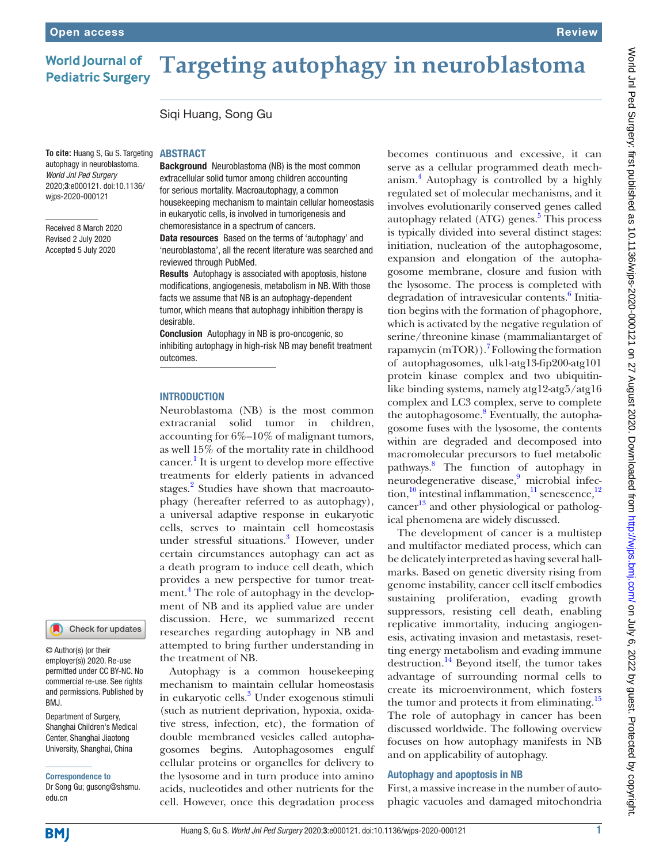### **World Journal of Pediatric Surgery**

# **Targeting autophagy in neuroblastoma**

Siqi Huang, Song Gu

**To cite:** Huang S, Gu S. Targeting autophagy in neuroblastoma. *World Jnl Ped Surgery* 2020;3:e000121. doi:10.1136/ wjps-2020-000121

Received 8 March 2020 Revised 2 July 2020 Accepted 5 July 2020

#### ABSTRACT

Background Neuroblastoma (NB) is the most common extracellular solid tumor among children accounting for serious mortality. Macroautophagy, a common housekeeping mechanism to maintain cellular homeostasis in eukaryotic cells, is involved in tumorigenesis and chemoresistance in a spectrum of cancers.

Data resources Based on the terms of 'autophagy' and 'neuroblastoma', all the recent literature was searched and reviewed through PubMed.

Results Autophagy is associated with apoptosis, histone modifications, angiogenesis, metabolism in NB. With those facts we assume that NB is an autophagy-dependent tumor, which means that autophagy inhibition therapy is desirable.

Conclusion Autophagy in NB is pro-oncogenic, so inhibiting autophagy in high-risk NB may benefit treatment outcomes.

#### **INTRODUCTION**

Neuroblastoma (NB) is the most common extracranial solid tumor in children, accounting for 6%–10% of malignant tumors, as well 15% of the mortality rate in childhood cancer.<sup>[1](#page-2-0)</sup> It is urgent to develop more effective treatments for elderly patients in advanced stages.<sup>[2](#page-2-1)</sup> Studies have shown that macroautophagy (hereafter referred to as autophagy), a universal adaptive response in eukaryotic cells, serves to maintain cell homeostasis under stressful situations.<sup>[3](#page-2-2)</sup> However, under certain circumstances autophagy can act as a death program to induce cell death, which provides a new perspective for tumor treat-ment.<sup>[4](#page-2-3)</sup> The role of autophagy in the development of NB and its applied value are under discussion. Here, we summarized recent researches regarding autophagy in NB and attempted to bring further understanding in the treatment of NB.

Autophagy is a common housekeeping mechanism to maintain cellular homeostasis in eukaryotic cells.<sup>3</sup> Under exogenous stimuli (such as nutrient deprivation, hypoxia, oxidative stress, infection, etc), the formation of double membraned vesicles called autophagosomes begins. Autophagosomes engulf cellular proteins or organelles for delivery to the lysosome and in turn produce into amino acids, nucleotides and other nutrients for the cell. However, once this degradation process

becomes continuous and excessive, it can serve as a cellular programmed death mechanism[.4](#page-2-3) Autophagy is controlled by a highly regulated set of molecular mechanisms, and it involves evolutionarily conserved genes called autophagy related (ATG) genes.<sup>5</sup> This process is typically divided into several distinct stages: initiation, nucleation of the autophagosome, expansion and elongation of the autophagosome membrane, closure and fusion with the lysosome. The process is completed with degradation of intravesicular contents.<sup>[6](#page-2-5)</sup> Initiation begins with the formation of phagophore, which is activated by the negative regulation of serine/threonine kinase (mammaliantarget of rapamycin (mTOR)).<sup>7</sup> Following the formation of autophagosomes, ulk1-atg13-fip200-atg101 protein kinase complex and two ubiquitinlike binding systems, namely atg12-atg5/atg16 complex and LC3 complex, serve to complete the autophagosome.<sup>8</sup> Eventually, the autophagosome fuses with the lysosome, the contents within are degraded and decomposed into macromolecular precursors to fuel metabolic pathways.[8](#page-2-7) The function of autophagy in neurodegenerative disease,<sup>[9](#page-2-8)</sup> microbial infection, $10$  intestinal inflammation, $11$  senescence, $12$ cancer<sup>13</sup> and other physiological or pathological phenomena are widely discussed.

The development of cancer is a multistep and multifactor mediated process, which can be delicately interpreted as having several hallmarks. Based on genetic diversity rising from genome instability, cancer cell itself embodies sustaining proliferation, evading growth suppressors, resisting cell death, enabling replicative immortality, inducing angiogenesis, activating invasion and metastasis, resetting energy metabolism and evading immune destruction. $^{14}$  $^{14}$  $^{14}$  Beyond itself, the tumor takes advantage of surrounding normal cells to create its microenvironment, which fosters the tumor and protects it from eliminating.<sup>15</sup> The role of autophagy in cancer has been discussed worldwide. The following overview focuses on how autophagy manifests in NB and on applicability of autophagy.

#### Autophagy and apoptosis in NB

First, a massive increase in the number of autophagic vacuoles and damaged mitochondria

## permitted under CC BY-NC. No

© Author(s) (or their employer(s)) 2020. Re-use

Department of Surgery, commercial re-use. See rights and permissions. Published by BMJ.

Check for updates

Shanghai Children's Medical Center, Shanghai Jiaotong University, Shanghai, China

Correspondence to

Dr Song Gu; gusong@shsmu. edu.cn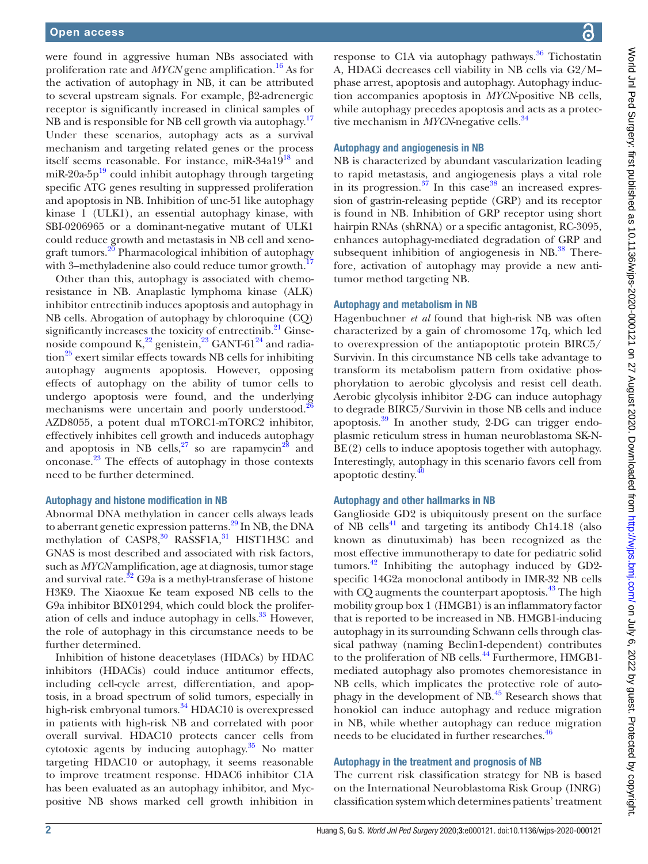were found in aggressive human NBs associated with proliferation rate and *MYCN* gene amplification.<sup>16</sup> As for the activation of autophagy in NB, it can be attributed to several upstream signals. For example, β2-adrenergic receptor is significantly increased in clinical samples of NB and is responsible for NB cell growth via autophagy.<sup>[17](#page-2-16)</sup> Under these scenarios, autophagy acts as a survival mechanism and targeting related genes or the process itself seems reasonable. For instance, miR- $34a19^{18}$  and miR-20a-5p $^{19}$  could inhibit autophagy through targeting specific ATG genes resulting in suppressed proliferation and apoptosis in NB. Inhibition of unc-51 like autophagy kinase 1 (ULK1), an essential autophagy kinase, with SBI-0206965 or a dominant-negative mutant of ULK1 could reduce growth and metastasis in NB cell and xenograft tumors.<sup>20</sup> Pharmacological inhibition of autophagy with 3–methyladenine also could reduce tumor growth.<sup>1</sup>

Other than this, autophagy is associated with chemoresistance in NB. Anaplastic lymphoma kinase (ALK) inhibitor entrectinib induces apoptosis and autophagy in NB cells. Abrogation of autophagy by chloroquine (CQ) significantly increases the toxicity of entrectinib. $^{21}$  Ginsenoside compound  $K^{22}$  genistein,<sup>23</sup> GANT-61<sup>24</sup> and radia- $\frac{1}{25}$  $\frac{1}{25}$  $\frac{1}{25}$  exert similar effects towards NB cells for inhibiting autophagy augments apoptosis. However, opposing effects of autophagy on the ability of tumor cells to undergo apoptosis were found, and the underlying mechanisms were uncertain and poorly understood. $26$ AZD8055, a potent dual mTORC1-mTORC2 inhibitor, effectively inhibites cell growth and induceds autophagy and apoptosis in NB cells, $27$  so are rapamycin<sup>28</sup> and onconase.[23](#page-2-22) The effects of autophagy in those contexts need to be further determined.

#### Autophagy and histone modification in NB

Abnormal DNA methylation in cancer cells always leads to aberrant genetic expression patterns.<sup>29</sup> In NB, the DNA methylation of CASP8,<sup>30</sup> RASSF1A,<sup>31</sup> HIST1H3C and GNAS is most described and associated with risk factors, such as *MYCN* amplification, age at diagnosis, tumor stage and survival rate. $32\text{ G}9a$  $32\text{ G}9a$  is a methyl-transferase of histone H3K9. The Xiaoxue Ke team exposed NB cells to the G9a inhibitor BIX01294, which could block the proliferation of cells and induce autophagy in cells. $33$  However, the role of autophagy in this circumstance needs to be further determined.

Inhibition of histone deacetylases (HDACs) by HDAC inhibitors (HDACis) could induce antitumor effects, including cell-cycle arrest, differentiation, and apoptosis, in a broad spectrum of solid tumors, especially in high-risk embryonal tumors. $34$  HDAC10 is overexpressed in patients with high-risk NB and correlated with poor overall survival. HDAC10 protects cancer cells from cytotoxic agents by inducing autophagy.[35](#page-3-11) No matter targeting HDAC10 or autophagy, it seems reasonable to improve treatment response. HDAC6 inhibitor C1A has been evaluated as an autophagy inhibitor, and Mycpositive NB shows marked cell growth inhibition in

response to C1A via autophagy pathways.<sup>36</sup> Tichostatin A, HDACi decreases cell viability in NB cells via G2/M- phase arrest, apoptosis and autophagy. Autophagy induction accompanies apoptosis in *MYCN*-positive NB cells, while autophagy precedes apoptosis and acts as a protective mechanism in *MYCN*-negative cells.<sup>34</sup>

#### Autophagy and angiogenesis in NB

NB is characterized by abundant vascularization leading to rapid metastasis, and angiogenesis plays a vital role in its progression. $37$  In this case  $38$  an increased expression of gastrin-releasing peptide (GRP) and its receptor is found in NB. Inhibition of GRP receptor using short hairpin RNAs (shRNA) or a specific antagonist, RC-3095, enhances autophagy-mediated degradation of GRP and subsequent inhibition of angiogenesis in  $NB$ <sup>38</sup>. Therefore, activation of autophagy may provide a new antitumor method targeting NB.

#### Autophagy and metabolism in NB

Hagenbuchner *et al* found that high-risk NB was often characterized by a gain of chromosome 17q, which led to overexpression of the antiapoptotic protein BIRC5/ Survivin. In this circumstance NB cells take advantage to transform its metabolism pattern from oxidative phosphorylation to aerobic glycolysis and resist cell death. Aerobic glycolysis inhibitor 2-DG can induce autophagy to degrade BIRC5/Survivin in those NB cells and induce apoptosis.[39](#page-3-15) In another study, 2-DG can trigger endoplasmic reticulum stress in human neuroblastoma SK-N-BE(2) cells to induce apoptosis together with autophagy. Interestingly, autophagy in this scenario favors cell from apoptotic destiny[.40](#page-3-16)

#### Autophagy and other hallmarks in NB

Ganglioside GD2 is ubiquitously present on the surface of NB cells<sup>41</sup> and targeting its antibody Ch14.18 (also known as dinutuximab) has been recognized as the most effective immunotherapy to date for pediatric solid tumors.<sup>[42](#page-3-18)</sup> Inhibiting the autophagy induced by  $GD2$ specific 14G2a monoclonal antibody in IMR-32 NB cells with CQ augments the counterpart apoptosis.<sup>43</sup> The high mobility group box 1 (HMGB1) is an inflammatory factor that is reported to be increased in NB. HMGB1-inducing autophagy in its surrounding Schwann cells through classical pathway (naming Beclin1-dependent) contributes to the proliferation of NB cells.<sup>44</sup> Furthermore, HMGB1mediated autophagy also promotes chemoresistance in NB cells, which implicates the protective role of autophagy in the development of NB.[45](#page-3-21) Research shows that honokiol can induce autophagy and reduce migration in NB, while whether autophagy can reduce migration needs to be elucidated in further researches.<sup>46</sup>

#### Autophagy in the treatment and prognosis of NB

The current risk classification strategy for NB is based on the International Neuroblastoma Risk Group (INRG) classification system which determines patients' treatment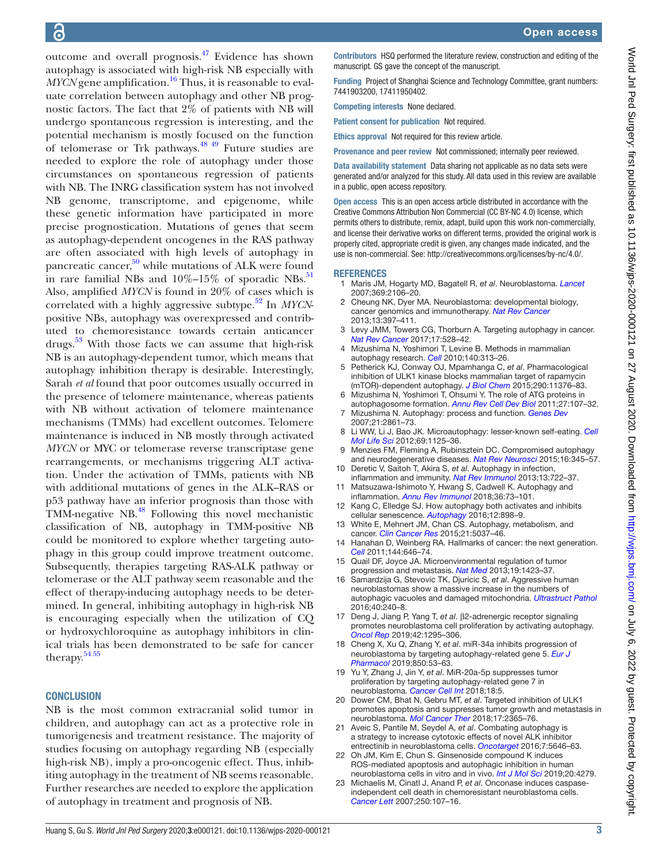outcome and overall prognosis[.47](#page-3-23) Evidence has shown autophagy is associated with high-risk NB especially with  $MYCN$  gene amplification.<sup>16</sup> Thus, it is reasonable to evaluate correlation between autophagy and other NB prognostic factors. The fact that 2% of patients with NB will undergo spontaneous regression is interesting, and the potential mechanism is mostly focused on the function of telomerase or Trk pathways.<sup>48 49</sup> Future studies are needed to explore the role of autophagy under those circumstances on spontaneous regression of patients with NB. The INRG classification system has not involved NB genome, transcriptome, and epigenome, while these genetic information have participated in more precise prognostication. Mutations of genes that seem as autophagy-dependent oncogenes in the RAS pathway are often associated with high levels of autophagy in pancreatic cancer,<sup>[50](#page-3-25)</sup> while mutations of ALK were found in rare familial NBs and  $10\%-15\%$  of sporadic NBs.<sup>51</sup> Also, amplified *MYCN* is found in 20% of cases which is correlated with a highly aggressive subtype.<sup>[52](#page-3-27)</sup> In *MYCN*positive NBs, autophagy was overexpressed and contributed to chemoresistance towards certain anticancer drugs. $53$  With those facts we can assume that high-risk NB is an autophagy-dependent tumor, which means that autophagy inhibition therapy is desirable. Interestingly, Sarah *et al* found that poor outcomes usually occurred in the presence of telomere maintenance, whereas patients with NB without activation of telomere maintenance mechanisms (TMMs) had excellent outcomes. Telomere maintenance is induced in NB mostly through activated *MYCN* or MYC or telomerase reverse transcriptase gene rearrangements, or mechanisms triggering ALT activation. Under the activation of TMMs, patients with NB with additional mutations of genes in the ALK–RAS or p53 pathway have an inferior prognosis than those with TMM-negative NB.<sup>48</sup> Following this novel mechanistic classification of NB, autophagy in TMM-positive NB could be monitored to explore whether targeting autophagy in this group could improve treatment outcome. Subsequently, therapies targeting RAS-ALK pathway or telomerase or the ALT pathway seem reasonable and the effect of therapy-inducing autophagy needs to be determined. In general, inhibiting autophagy in high-risk NB is encouraging especially when the utilization of CQ or hydroxychloroquine as autophagy inhibitors in clinical trials has been demonstrated to be safe for cancer therapy. $54\,55$ 

#### **CONCLUSION**

NB is the most common extracranial solid tumor in children, and autophagy can act as a protective role in tumorigenesis and treatment resistance. The majority of studies focusing on autophagy regarding NB (especially high-risk NB), imply a pro-oncogenic effect. Thus, inhibiting autophagy in the treatment of NB seems reasonable. Further researches are needed to explore the application of autophagy in treatment and prognosis of NB.

Contributors HSQ performed the literature review, construction and editing of the manuscript. GS gave the concept of the manuscript.

Funding Project of Shanghai Science and Technology Committee, grant numbers: 7441903200, 17411950402.

Competing interests None declared.

Patient consent for publication Not required.

Ethics approval Not required for this review article.

Provenance and peer review Not commissioned; internally peer reviewed.

Data availability statement Data sharing not applicable as no data sets were generated and/or analyzed for this study. All data used in this review are available in a public, open access repository.

Open access This is an open access article distributed in accordance with the Creative Commons Attribution Non Commercial (CC BY-NC 4.0) license, which permits others to distribute, remix, adapt, build upon this work non-commercially, and license their derivative works on different terms, provided the original work is properly cited, appropriate credit is given, any changes made indicated, and the use is non-commercial. See:<http://creativecommons.org/licenses/by-nc/4.0/>.

#### <span id="page-2-0"></span>**REFERENCES**

- 1 Maris JM, Hogarty MD, Bagatell R, *et al*. Neuroblastoma. *[Lancet](http://dx.doi.org/10.1016/S0140-6736(07)60983-0)* 2007;369:2106–20.
- <span id="page-2-1"></span>2 Cheung NK, Dyer MA. Neuroblastoma: developmental biology, cancer genomics and immunotherapy. *[Nat Rev Cancer](http://dx.doi.org/10.1038/nrc3526)* 2013;13:397–411.
- <span id="page-2-2"></span>3 Levy JMM, Towers CG, Thorburn A. Targeting autophagy in cancer. *[Nat Rev Cancer](http://dx.doi.org/10.1038/nrc.2017.53)* 2017;17:528–42.
- <span id="page-2-3"></span>4 Mizushima N, Yoshimori T, Levine B. Methods in mammalian autophagy research. *[Cell](http://dx.doi.org/10.1016/j.cell.2010.01.028)* 2010;140:313–26. 5 Petherick KJ, Conway OJ, Mpamhanga C, *et al*. Pharmacological
- <span id="page-2-4"></span>inhibition of ULK1 kinase blocks mammalian target of rapamycin (mTOR)-dependent autophagy. *[J Biol Chem](http://dx.doi.org/10.1074/jbc.C114.627778)* 2015;290:11376–83.
- <span id="page-2-5"></span>6 Mizushima N, Yoshimori T, Ohsumi Y. The role of ATG proteins in autophagosome formation. *[Annu Rev Cell Dev Biol](http://dx.doi.org/10.1146/annurev-cellbio-092910-154005)* 2011;27:107–32. 7 Mizushima N. Autophagy: process and function. *[Genes Dev](http://dx.doi.org/10.1101/gad.1599207)*
- <span id="page-2-6"></span>2007;21:2861–73.
- <span id="page-2-7"></span>8 Li WW, Li J, Bao JK. Microautophagy: lesser-known self-eating. *[Cell](http://dx.doi.org/10.1007/s00018-011-0865-5)  [Mol Life Sci](http://dx.doi.org/10.1007/s00018-011-0865-5)* 2012;69:1125–36.
- <span id="page-2-8"></span>9 Menzies FM, Fleming A, Rubinsztein DC. Compromised autophagy and neurodegenerative diseases. *[Nat Rev Neurosci](http://dx.doi.org/10.1038/nrn3961)* 2015;16:345–57.
- <span id="page-2-9"></span>10 Deretic V, Saitoh T, Akira S, *et al*. Autophagy in infection, inflammation and immunity. *[Nat Rev Immunol](http://dx.doi.org/10.1038/nri3532)* 2013;13:722–37.
- <span id="page-2-10"></span>11 Matsuzawa-Ishimoto Y, Hwang S, Cadwell K. Autophagy and inflammation. *[Annu Rev Immunol](http://dx.doi.org/10.1146/annurev-immunol-042617-053253)* 2018;36:73–101.
- <span id="page-2-11"></span>12 Kang C, Elledge SJ. How autophagy both activates and inhibits cellular senescence. *[Autophagy](http://dx.doi.org/10.1080/15548627.2015.1121361)* 2016;12:898–9.
- <span id="page-2-12"></span>13 White E, Mehnert JM, Chan CS. Autophagy, metabolism, and cancer. *[Clin Cancer Res](http://dx.doi.org/10.1158/1078-0432.CCR-15-0490)* 2015;21:5037–46.
- <span id="page-2-13"></span>14 Hanahan D, Weinberg RA. Hallmarks of cancer: the next generation. *[Cell](http://dx.doi.org/10.1016/j.cell.2011.02.013)* 2011;144:646–74.
- <span id="page-2-14"></span>15 Quail DF, Joyce JA. Microenvironmental regulation of tumor progression and metastasis. *[Nat Med](http://dx.doi.org/10.1038/nm.3394)* 2013;19:1423–37.
- <span id="page-2-15"></span>16 Samardzija G, Stevovic TK, Djuricic S, *et al*. Aggressive human neuroblastomas show a massive increase in the numbers of autophagic vacuoles and damaged mitochondria. *[Ultrastruct Pathol](http://dx.doi.org/10.1080/01913123.2016.1187689)* 2016;40:240–8.
- <span id="page-2-16"></span>17 Deng J, Jiang P, Yang T, *et al*. β2-adrenergic receptor signaling promotes neuroblastoma cell proliferation by activating autophagy. *[Oncol Rep](http://dx.doi.org/10.3892/or.2019.7266)* 2019;42:1295–306.
- <span id="page-2-17"></span>18 Cheng X, Xu Q, Zhang Y, *et al*. miR-34a inhibits progression of neuroblastoma by targeting autophagy-related gene 5. *[Eur J](http://dx.doi.org/10.1016/j.ejphar.2019.01.071)  [Pharmacol](http://dx.doi.org/10.1016/j.ejphar.2019.01.071)* 2019;850:53–63.
- <span id="page-2-18"></span>19 Yu Y, Zhang J, Jin Y, *et al*. MiR-20a-5p suppresses tumor proliferation by targeting autophagy-related gene 7 in neuroblastoma. *[Cancer Cell Int](http://dx.doi.org/10.1186/s12935-017-0499-2)* 2018;18:5.
- <span id="page-2-19"></span>20 Dower CM, Bhat N, Gebru MT, *et al*. Targeted inhibition of ULK1 promotes apoptosis and suppresses tumor growth and metastasis in neuroblastoma. *[Mol Cancer Ther](http://dx.doi.org/10.1158/1535-7163.MCT-18-0176)* 2018;17:2365–76.
- <span id="page-2-20"></span>21 Aveic S, Pantile M, Seydel A, *et al*. Combating autophagy is a strategy to increase cytotoxic effects of novel ALK inhibitor entrectinib in neuroblastoma cells. *[Oncotarget](http://dx.doi.org/10.18632/oncotarget.6778)* 2016;7:5646–63.
- <span id="page-2-21"></span>22 Oh JM, Kim E, Chun S. Ginsenoside compound K induces ROS-mediated apoptosis and autophagic inhibition in human neuroblastoma cells in vitro and in vivo. *[Int J Mol Sci](http://dx.doi.org/10.3390/ijms20174279)* 2019;20:4279.
- <span id="page-2-22"></span>23 Michaelis M, Cinatl J, Anand P, *et al*. Onconase induces caspaseindependent cell death in chemoresistant neuroblastoma cells. *[Cancer Lett](http://dx.doi.org/10.1016/j.canlet.2006.09.018)* 2007;250:107–16.